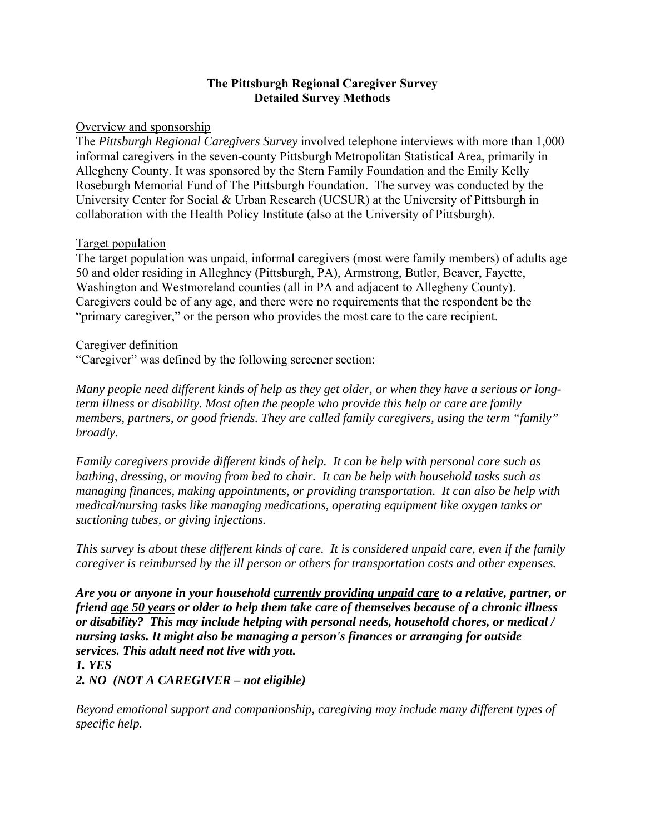## **The Pittsburgh Regional Caregiver Survey Detailed Survey Methods**

### Overview and sponsorship

The *Pittsburgh Regional Caregivers Survey* involved telephone interviews with more than 1,000 informal caregivers in the seven-county Pittsburgh Metropolitan Statistical Area, primarily in Allegheny County. It was sponsored by the Stern Family Foundation and the Emily Kelly Roseburgh Memorial Fund of The Pittsburgh Foundation. The survey was conducted by the University Center for Social & Urban Research (UCSUR) at the University of Pittsburgh in collaboration with the Health Policy Institute (also at the University of Pittsburgh).

## Target population

The target population was unpaid, informal caregivers (most were family members) of adults age 50 and older residing in Alleghney (Pittsburgh, PA), Armstrong, Butler, Beaver, Fayette, Washington and Westmoreland counties (all in PA and adjacent to Allegheny County). Caregivers could be of any age, and there were no requirements that the respondent be the "primary caregiver," or the person who provides the most care to the care recipient.

### Caregiver definition

"Caregiver" was defined by the following screener section:

*Many people need different kinds of help as they get older, or when they have a serious or longterm illness or disability. Most often the people who provide this help or care are family members, partners, or good friends. They are called family caregivers, using the term "family" broadly.* 

*Family caregivers provide different kinds of help. It can be help with personal care such as bathing, dressing, or moving from bed to chair. It can be help with household tasks such as managing finances, making appointments, or providing transportation. It can also be help with medical/nursing tasks like managing medications, operating equipment like oxygen tanks or suctioning tubes, or giving injections.* 

*This survey is about these different kinds of care. It is considered unpaid care, even if the family caregiver is reimbursed by the ill person or others for transportation costs and other expenses.* 

*Are you or anyone in your household currently providing unpaid care to a relative, partner, or friend age 50 years or older to help them take care of themselves because of a chronic illness or disability? This may include helping with personal needs, household chores, or medical / nursing tasks. It might also be managing a person's finances or arranging for outside services. This adult need not live with you.*

#### *1. YES*

*2. NO (NOT A CAREGIVER – not eligible)* 

*Beyond emotional support and companionship, caregiving may include many different types of specific help.*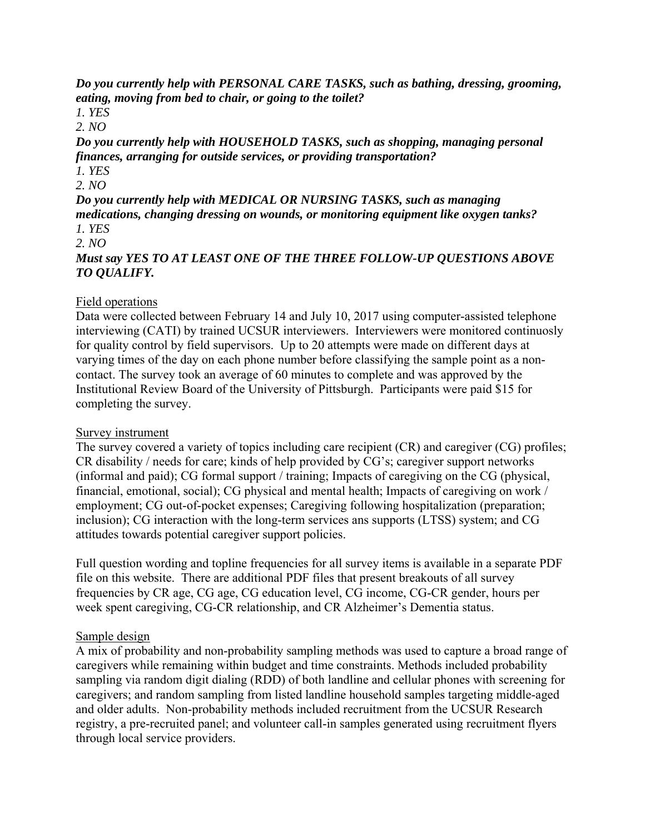*Do you currently help with PERSONAL CARE TASKS, such as bathing, dressing, grooming, eating, moving from bed to chair, or going to the toilet?*

*1. YES* 

*2. NO* 

*Do you currently help with HOUSEHOLD TASKS, such as shopping, managing personal finances, arranging for outside services, or providing transportation?*

*1. YES 2. NO* 

*Do you currently help with MEDICAL OR NURSING TASKS, such as managing medications, changing dressing on wounds, or monitoring equipment like oxygen tanks? 1. YES* 

*2. NO* 

*Must say YES TO AT LEAST ONE OF THE THREE FOLLOW-UP QUESTIONS ABOVE TO QUALIFY.*

# Field operations

Data were collected between February 14 and July 10, 2017 using computer-assisted telephone interviewing (CATI) by trained UCSUR interviewers. Interviewers were monitored continuosly for quality control by field supervisors. Up to 20 attempts were made on different days at varying times of the day on each phone number before classifying the sample point as a noncontact. The survey took an average of 60 minutes to complete and was approved by the Institutional Review Board of the University of Pittsburgh. Participants were paid \$15 for completing the survey.

## Survey instrument

The survey covered a variety of topics including care recipient (CR) and caregiver (CG) profiles; CR disability / needs for care; kinds of help provided by CG's; caregiver support networks (informal and paid); CG formal support / training; Impacts of caregiving on the CG (physical, financial, emotional, social); CG physical and mental health; Impacts of caregiving on work / employment; CG out-of-pocket expenses; Caregiving following hospitalization (preparation; inclusion); CG interaction with the long-term services ans supports (LTSS) system; and CG attitudes towards potential caregiver support policies.

Full question wording and topline frequencies for all survey items is available in a separate PDF file on this website. There are additional PDF files that present breakouts of all survey frequencies by CR age, CG age, CG education level, CG income, CG-CR gender, hours per week spent caregiving, CG-CR relationship, and CR Alzheimer's Dementia status.

# Sample design

A mix of probability and non-probability sampling methods was used to capture a broad range of caregivers while remaining within budget and time constraints. Methods included probability sampling via random digit dialing (RDD) of both landline and cellular phones with screening for caregivers; and random sampling from listed landline household samples targeting middle-aged and older adults. Non-probability methods included recruitment from the UCSUR Research registry, a pre-recruited panel; and volunteer call-in samples generated using recruitment flyers through local service providers.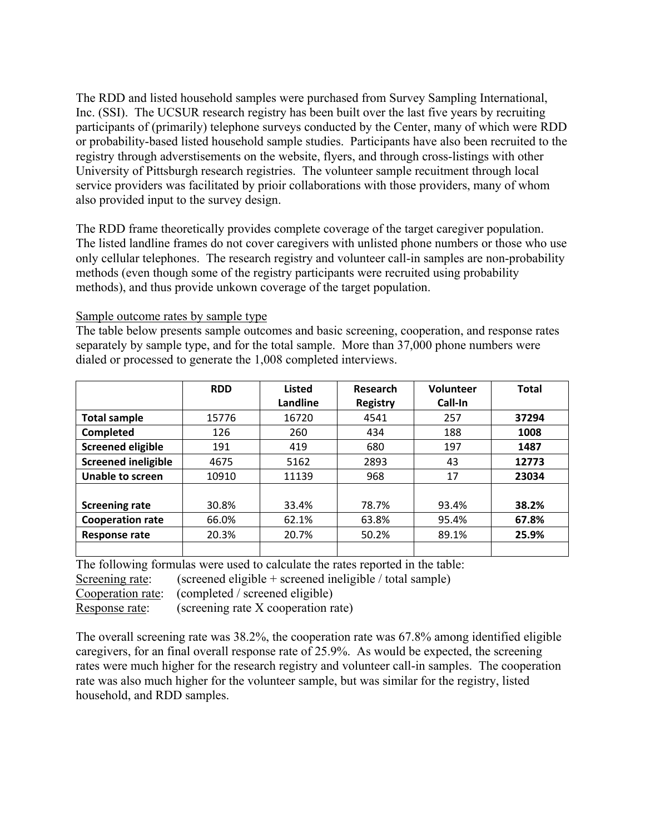The RDD and listed household samples were purchased from Survey Sampling International, Inc. (SSI). The UCSUR research registry has been built over the last five years by recruiting participants of (primarily) telephone surveys conducted by the Center, many of which were RDD or probability-based listed household sample studies. Participants have also been recruited to the registry through adverstisements on the website, flyers, and through cross-listings with other University of Pittsburgh research registries. The volunteer sample recuitment through local service providers was facilitated by prioir collaborations with those providers, many of whom also provided input to the survey design.

The RDD frame theoretically provides complete coverage of the target caregiver population. The listed landline frames do not cover caregivers with unlisted phone numbers or those who use only cellular telephones. The research registry and volunteer call-in samples are non-probability methods (even though some of the registry participants were recruited using probability methods), and thus provide unkown coverage of the target population.

Sample outcome rates by sample type

The table below presents sample outcomes and basic screening, cooperation, and response rates separately by sample type, and for the total sample. More than 37,000 phone numbers were dialed or processed to generate the 1,008 completed interviews.

|                            | <b>RDD</b> | <b>Listed</b> | Research        | Volunteer | <b>Total</b> |
|----------------------------|------------|---------------|-----------------|-----------|--------------|
|                            |            | Landline      | <b>Registry</b> | Call-In   |              |
| <b>Total sample</b>        | 15776      | 16720         | 4541            | 257       | 37294        |
| Completed                  | 126        | 260           | 434             | 188       | 1008         |
| <b>Screened eligible</b>   | 191        | 419           | 680             | 197       | 1487         |
| <b>Screened ineligible</b> | 4675       | 5162          | 2893            | 43        | 12773        |
| <b>Unable to screen</b>    | 10910      | 11139         | 968             | 17        | 23034        |
|                            |            |               |                 |           |              |
| <b>Screening rate</b>      | 30.8%      | 33.4%         | 78.7%           | 93.4%     | 38.2%        |
| <b>Cooperation rate</b>    | 66.0%      | 62.1%         | 63.8%           | 95.4%     | 67.8%        |
| <b>Response rate</b>       | 20.3%      | 20.7%         | 50.2%           | 89.1%     | 25.9%        |
|                            |            |               |                 |           |              |

The following formulas were used to calculate the rates reported in the table:

Screening rate: (screened eligible + screened ineligible / total sample)

Cooperation <u>rate</u>: (completed / screened eligible)

Response rate: (screening rate X cooperation rate)

The overall screening rate was 38.2%, the cooperation rate was 67.8% among identified eligible caregivers, for an final overall response rate of 25.9%. As would be expected, the screening rates were much higher for the research registry and volunteer call-in samples. The cooperation rate was also much higher for the volunteer sample, but was similar for the registry, listed household, and RDD samples.